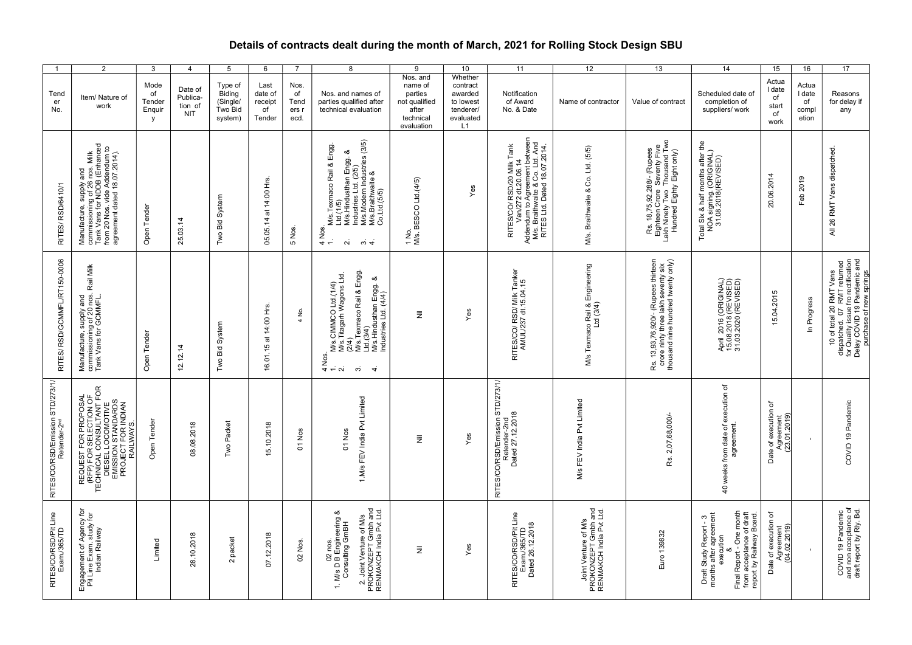## Details of contracts dealt during the month of March, 2021 for Rolling Stock Design SBU

| $\overline{1}$                        | 2                                                                                                                                                         | $\mathbf{3}$                        | $\overline{4}$                        | $5^{\circ}$                                         | 6                                          | $\overline{7}$                      | 8                                                                                                                                                                                                             | 9                                                                                   | 10                                                                          | 11                                                                                                                                                            | 12                                                                     | 13                                                                                                                      | 14                                                                                                                                                                                       | 15                                                      | 16                                      | 17                                                                                                                                                      |
|---------------------------------------|-----------------------------------------------------------------------------------------------------------------------------------------------------------|-------------------------------------|---------------------------------------|-----------------------------------------------------|--------------------------------------------|-------------------------------------|---------------------------------------------------------------------------------------------------------------------------------------------------------------------------------------------------------------|-------------------------------------------------------------------------------------|-----------------------------------------------------------------------------|---------------------------------------------------------------------------------------------------------------------------------------------------------------|------------------------------------------------------------------------|-------------------------------------------------------------------------------------------------------------------------|------------------------------------------------------------------------------------------------------------------------------------------------------------------------------------------|---------------------------------------------------------|-----------------------------------------|---------------------------------------------------------------------------------------------------------------------------------------------------------|
| Tend<br>$\mathop{\mathsf{er}}$<br>No. | Item/ Nature of<br>work                                                                                                                                   | Mode<br>of<br>Tender<br>Enquir<br>y | Date of<br>Publica-<br>tion of<br>NIT | Type of<br>Biding<br>(Single/<br>Two Bid<br>system) | Last<br>date of<br>receipt<br>of<br>Tender | Nos.<br>of<br>Tend<br>ers i<br>ecd. | Nos. and names of<br>parties qualified after<br>technical evaluation                                                                                                                                          | Nos. and<br>name of<br>parties<br>not qualified<br>after<br>technical<br>evaluation | Whether<br>contract<br>awarded<br>to lowest<br>tenderer/<br>evaluated<br>L1 | Notification<br>of Award<br>No. & Date                                                                                                                        | Name of contractor                                                     | Value of contract                                                                                                       | Scheduled date of<br>completion of<br>suppliers/work                                                                                                                                     | Actua<br>I date<br>$\mathsf{of}$<br>start<br>of<br>work | Actua<br>I date<br>of<br>compl<br>etion | Reasons<br>for delay if<br>any                                                                                                                          |
| RITES/RSD/6410/1                      | Manufacture, supply and<br>commissioning of 26 nos. Milk<br>Tank Vans for NDDB (Enhanced<br>from 20 Nos. vide Addendum to<br>agreement dated 18.07.2014). | Open Tender                         | 25.03.14                              | Two Bid System                                      | 05.05.14 at 14:00 Hrs.                     | 5 Nos.                              | Twis. Texmaoo Rail & Engg.<br>Ltd. (1/5)<br>Mis. Hindusthan Engg. &<br>Mustries. Ltd. (2/5)<br>Mis. Braithwaite &<br>Wis. Braithwaite &<br>$4$ Nos.<br>$\sim$<br>$\omega$ 4                                   | 1 No.<br>M/s. BESCO Ltd.(4/5)                                                       | Yes                                                                         | RITES/CO/RSD/20 Milk Tank<br>Addemium to Agreement baken<br>Addemium to Agreement bakeen<br>Mis, Britts Lid, Daed 18.07.2014.<br>RITES Lid, Dated 18.07.2014. | M/s. Braithwaite & Co. Ltd. (5/5)                                      | Rs. 18,75,92,288/- (Rupees<br>Eighteen Crore Seventy Five<br>Lakh Ninety Two Thousand Two<br>Hundred Eighty Eight only) | Total Six & half months after the<br>NOA signing. (ORIGINAL)<br>31.08.2018(REVISED)                                                                                                      | 20.06.2014                                              | Feb 2019                                | All 26 RMT Vans dispatched.                                                                                                                             |
| RITES/ RSD/GCMMFL/RT150-0006          | Manufacture, supply and<br>commissioning of 20 nos. Rail Milk<br>Tank Vans for GCMMFL.                                                                    | Open Tender                         | $\overline{4}$<br>12.12.              | Two Bid System                                      | 14:00 Hrs.<br>16.01.15 at                  | 4 No.                               | ivus.CIMMCO Ltd.(1/4)<br>Mus.Titagarh Wagons Ltd.<br>(2/4)<br>Clus.Texmaco Rail & Engg.<br>Ltd.s.Hindusthan Engg. &<br>Mus.Hindusthan Engg. &<br>4 Nos.<br>$\dot{\mathfrak{G}}$<br>$\div \alpha$<br>$\vec{v}$ | $\bar{z}$                                                                           | Yes                                                                         | RITES/CO/ RSD/ Milk Tanker<br>AMUL/237 dt.15.04.15                                                                                                            | Texmaco Rail & Engineering<br>Ltd (3/4)<br>$\frac{1}{2}$               | Rs. 13,93,76,920/- (Rupees thirteen<br>crore ninty three lakh seventy six<br>thousand nine hundred twenty only)         | April 2016 (ORIGINAL)<br>15.08.2018 (REVISED)<br>31.03.2020 (REVISED)                                                                                                                    | 15.04.2015                                              | In Progress                             | 10 of total 20 RMT Vans<br>dispatched. 07 RMT returned<br>for Quality issue fro rectification<br>Delay COVID 19 Pandemic and<br>purchase of new springs |
| RITES/CO/RSD/Emission STD/273/1/      | REQUEST FOR PROPOSAL<br>TECHNICAL CONSULTANT FOR<br>DIESEL LOCOMOTIVE<br>DIESEL LOCOMOTIVE<br>PROJECT FOR NDIAN<br>PROJECT FOR NDIAN                      | Open Tender                         | 08.08.2018                            | Two Packet                                          | 15.10.2018                                 | 01 Nos                              | 1.M/s FEV India Pvt Limited<br>01 Nos                                                                                                                                                                         | $\overline{\overline{z}}$                                                           | Yes                                                                         | RITES/CO/RSD/Emission STD/273/1/<br>Retender-2nd<br>Dated 27.12.2018                                                                                          | M/s FEV India Pvt Limited                                              | 2,07,68,000/<br>Rs.                                                                                                     | execution of<br>40 weeks from date of $\epsilon$<br>agreement.                                                                                                                           | Date of execution of<br>Agreement<br>(23.01.2019)       |                                         | COVID 19 Pandemic                                                                                                                                       |
| RITES/CO/RSD/Pit Line<br>Exam./365/TD | Engagement of Agency for<br>Pit Line Exam. study for<br>Indian Railway                                                                                    | Limited                             | 28.10.2018                            | 2 packet                                            | 07.12.2018                                 | 02 Nos.                             | 2. Joint Venture of M/s<br>PROKONZEPT Gmbh and<br>RENMAKCH India Pvt Ltd.<br>1. M/s D B Engineering &<br>Consulting GmBH<br>nos.<br>$\mathsf{S}$                                                              | $\bar{\bar{z}}$                                                                     | Yes                                                                         | RITES/CO/RSD/Pit Line<br>Exam./365/TD<br>Dated 26.12.2018                                                                                                     | Joint Venture of M/s<br>PROKONZEPT Gmbh and<br>RENMAKCH India Pvt Ltd. | Euro 139832                                                                                                             | Final Report - One month<br>from acceptance of draft<br>report by Railway Board.<br>Draft Study Report - 3<br>months after agreement<br>execution<br>య<br>Final Report -<br>from accepta | Date of execution of<br>Agreement<br>(04.02.2019)       |                                         | COVID 19 Pandemic<br>and non acceptance of<br>draft report by Rly. Bd.                                                                                  |